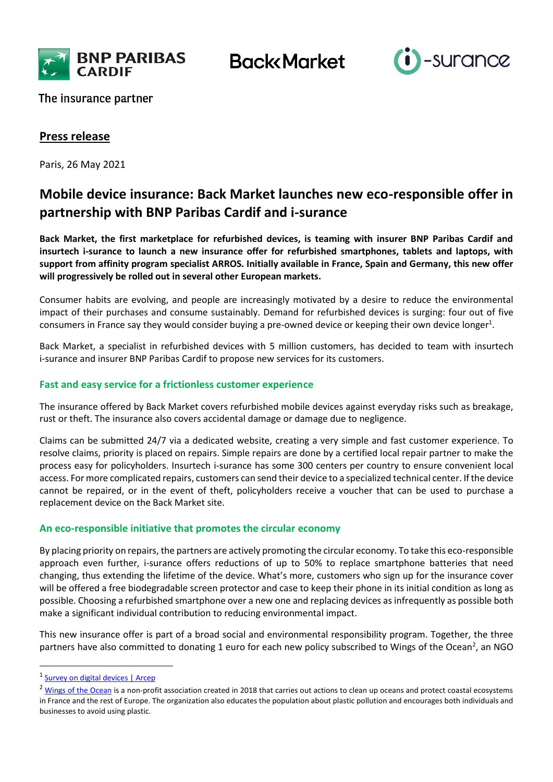

**Back** Market



The insurance partner

## **Press release**

Paris, 26 May 2021

# **Mobile device insurance: Back Market launches new eco-responsible offer in partnership with BNP Paribas Cardif and i-surance**

**Back Market, the first marketplace for refurbished devices, is teaming with insurer BNP Paribas Cardif and insurtech i-surance to launch a new insurance offer for refurbished smartphones, tablets and laptops, with support from affinity program specialist ARROS. Initially available in France, Spain and Germany, this new offer will progressively be rolled out in several other European markets.** 

Consumer habits are evolving, and people are increasingly motivated by a desire to reduce the environmental impact of their purchases and consume sustainably. Demand for refurbished devices is surging: four out of five consumers in France say they would consider buying a pre-owned device or keeping their own device longer<sup>1</sup>.

Back Market, a specialist in refurbished devices with 5 million customers, has decided to team with insurtech i-surance and insurer BNP Paribas Cardif to propose new services for its customers.

## **Fast and easy service for a frictionless customer experience**

The insurance offered by Back Market covers refurbished mobile devices against everyday risks such as breakage, rust or theft. The insurance also covers accidental damage or damage due to negligence.

Claims can be submitted 24/7 via a dedicated website, creating a very simple and fast customer experience. To resolve claims, priority is placed on repairs. Simple repairs are done by a certified local repair partner to make the process easy for policyholders. Insurtech i-surance has some 300 centers per country to ensure convenient local access. For more complicated repairs, customers can send their device to a specialized technical center. If the device cannot be repaired, or in the event of theft, policyholders receive a voucher that can be used to purchase a replacement device on the Back Market site.

## **An eco-responsible initiative that promotes the circular economy**

By placing priority on repairs, the partners are actively promoting the circular economy. To take this eco-responsible approach even further, i-surance offers reductions of up to 50% to replace smartphone batteries that need changing, thus extending the lifetime of the device. What's more, customers who sign up for the insurance cover will be offered a free biodegradable screen protector and case to keep their phone in its initial condition as long as possible. Choosing a refurbished smartphone over a new one and replacing devices as infrequently as possible both make a significant individual contribution to reducing environmental impact.

This new insurance offer is part of a broad social and environmental responsibility program. Together, the three partners have also committed to donating 1 euro for each new policy subscribed to Wings of the Ocean<sup>2</sup>, an NGO

 $\ddot{\phantom{a}}$ 

<sup>&</sup>lt;sup>1</sup> [Survey on digital devices | Arcep](https://www.arcep.fr/uploads/tx_gspublication/infographie-barometre-num-2019.pdf)

<sup>&</sup>lt;sup>2</sup> [Wings of the Ocean](https://www.wingsoftheocean.com/presentation) is a non-profit association created in 2018 that carries out actions to clean up oceans and protect coastal ecosystems in France and the rest of Europe. The organization also educates the population about plastic pollution and encourages both individuals and businesses to avoid using plastic.